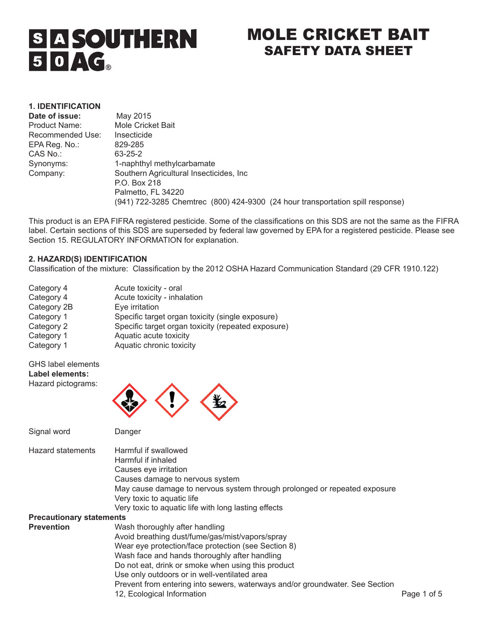# **SIA SOUTHERN**  $50AG$

# MOLE CRICKET BAIT SAFETY DATA SHEET

# **1. IDENTIFICATION**

| Date of issue:   | May 2015                                                                       |
|------------------|--------------------------------------------------------------------------------|
| Product Name:    | Mole Cricket Bait                                                              |
| Recommended Use: | Insecticide                                                                    |
| EPA Reg. No.:    | 829-285                                                                        |
| CAS No.:         | 63-25-2                                                                        |
| Synonyms:        | 1-naphthyl methylcarbamate                                                     |
| Company:         | Southern Agricultural Insecticides, Inc.                                       |
|                  | P.O. Box 218                                                                   |
|                  | Palmetto, FL 34220                                                             |
|                  | (941) 722-3285 Chemtrec (800) 424-9300 (24 hour transportation spill response) |

This product is an EPA FIFRA registered pesticide. Some of the classifications on this SDS are not the same as the FIFRA label. Certain sections of this SDS are superseded by federal law governed by EPA for a registered pesticide. Please see Section 15. REGULATORY INFORMATION for explanation.

#### **2. HAZARD(S) IDENTIFICATION**

Classification of the mixture: Classification by the 2012 OSHA Hazard Communication Standard (29 CFR 1910.122)

| Acute toxicity - oral                              |
|----------------------------------------------------|
| Acute toxicity - inhalation                        |
| Eye irritation                                     |
| Specific target organ toxicity (single exposure)   |
| Specific target organ toxicity (repeated exposure) |
| Aquatic acute toxicity                             |
| Aquatic chronic toxicity                           |
|                                                    |

# GHS label elements **Label elements:**

Hazard pictograms:

Signal word Danger



Hazard statements Harmful if swallowed Harmful if inhaled Causes eye irritation Causes damage to nervous system May cause damage to nervous system through prolonged or repeated exposure Very toxic to aquatic life Very toxic to aquatic life with long lasting effects **Precautionary statements**  Wash thoroughly after handling Avoid breathing dust/fume/gas/mist/vapors/spray Wear eye protection/face protection (see Section 8) Wash face and hands thoroughly after handling Do not eat, drink or smoke when using this product Use only outdoors or in well-ventilated area Prevent from entering into sewers, waterways and/or groundwater. See Section 12, Ecological Information **Page 1 of 5** and 2.1 and 2.1 and 2.1 and 2.1 and 2.1 and 2.1 and 2.1 and 2.1 and 2.1 and 2.1 and 2.1 and 2.1 and 2.1 and 2.1 and 2.1 and 2.1 and 2.1 and 2.1 and 2.1 and 2.1 and 2.1 and 2.1 and 2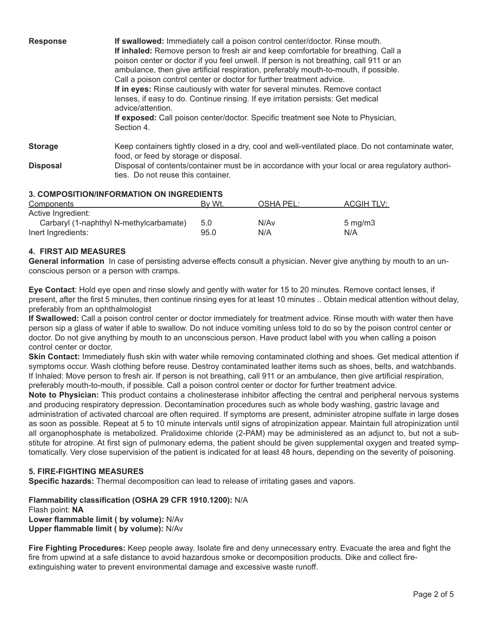| <b>Response</b> | If swallowed: Immediately call a poison control center/doctor. Rinse mouth.<br>If inhaled: Remove person to fresh air and keep comfortable for breathing. Call a<br>poison center or doctor if you feel unwell. If person is not breathing, call 911 or an<br>ambulance, then give artificial respiration, preferably mouth-to-mouth, if possible.<br>Call a poison control center or doctor for further treatment advice.<br>If in eyes: Rinse cautiously with water for several minutes. Remove contact<br>lenses, if easy to do. Continue rinsing. If eye irritation persists: Get medical<br>advice/attention.<br>If exposed: Call poison center/doctor. Specific treatment see Note to Physician,<br>Section 4. |
|-----------------|----------------------------------------------------------------------------------------------------------------------------------------------------------------------------------------------------------------------------------------------------------------------------------------------------------------------------------------------------------------------------------------------------------------------------------------------------------------------------------------------------------------------------------------------------------------------------------------------------------------------------------------------------------------------------------------------------------------------|
| <b>Storage</b>  | Keep containers tightly closed in a dry, cool and well-ventilated place. Do not contaminate water,<br>food, or feed by storage or disposal.                                                                                                                                                                                                                                                                                                                                                                                                                                                                                                                                                                          |
| <b>Disposal</b> | Disposal of contents/container must be in accordance with your local or area regulatory authori-<br>ties. Do not reuse this container.                                                                                                                                                                                                                                                                                                                                                                                                                                                                                                                                                                               |

# **3. COMPOSITION/INFORMATION ON INGREDIENTS**

| <b>Components</b>                       | By Wt. | OSHA PEL: | ACGIH TLV:       |
|-----------------------------------------|--------|-----------|------------------|
| Active Ingredient:                      |        |           |                  |
| Carbaryl (1-naphthyl N-methylcarbamate) | 5.0    | N/Av      | $5 \text{ mg/m}$ |
| Inert Ingredients:                      | 95.0   | N/A       | N/A              |

# **4. FIRST AID MEASURES**

**General information** In case of persisting adverse effects consult a physician. Never give anything by mouth to an unconscious person or a person with cramps.

**Eye Contact**: Hold eye open and rinse slowly and gently with water for 15 to 20 minutes. Remove contact lenses, if present, after the first 5 minutes, then continue rinsing eyes for at least 10 minutes .. Obtain medical attention without delay, preferably from an ophthalmologist

**If Swallowed:** Call a poison control center or doctor immediately for treatment advice. Rinse mouth with water then have person sip a glass of water if able to swallow. Do not induce vomiting unless told to do so by the poison control center or doctor. Do not give anything by mouth to an unconscious person. Have product label with you when calling a poison control center or doctor.

**Skin Contact:** Immediately flush skin with water while removing contaminated clothing and shoes. Get medical attention if symptoms occur. Wash clothing before reuse. Destroy contaminated leather items such as shoes, belts, and watchbands. If Inhaled: Move person to fresh air. If person is not breathing, call 911 or an ambulance, then give artificial respiration, preferably mouth-to-mouth, if possible. Call a poison control center or doctor for further treatment advice.

**Note to Physician:** This product contains a cholinesterase inhibitor affecting the central and peripheral nervous systems and producing respiratory depression. Decontamination procedures such as whole body washing, gastric lavage and administration of activated charcoal are often required. If symptoms are present, administer atropine sulfate in large doses as soon as possible. Repeat at 5 to 10 minute intervals until signs of atropinization appear. Maintain full atropinization until all organophosphate is metabolized. Pralidoxime chloride (2-PAM) may be administered as an adjunct to, but not a substitute for atropine. At first sign of pulmonary edema, the patient should be given supplemental oxygen and treated symptomatically. Very close supervision of the patient is indicated for at least 48 hours, depending on the severity of poisoning.

#### **5. FIRE-FIGHTING MEASURES**

**Specific hazards:** Thermal decomposition can lead to release of irritating gases and vapors.

**Flammability classification (OSHA 29 CFR 1910.1200):** N/A Flash point: **NA Lower flammable limit ( by volume):** N/Av **Upper flammable limit ( by volume):** N/Av

**Fire Fighting Procedures:** Keep people away. Isolate fire and deny unnecessary entry. Evacuate the area and fight the fire from upwind at a safe distance to avoid hazardous smoke or decomposition products. Dike and collect fireextinguishing water to prevent environmental damage and excessive waste runoff.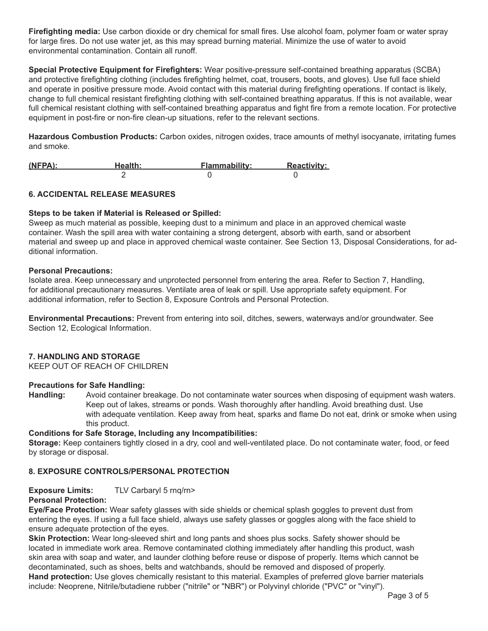**Firefighting media:** Use carbon dioxide or dry chemical for small fires. Use alcohol foam, polymer foam or water spray for large fires. Do not use water jet, as this may spread burning material. Minimize the use of water to avoid environmental contamination. Contain all runoff.

**Special Protective Equipment for Firefighters:** Wear positive-pressure self-contained breathing apparatus (SCBA) and protective firefighting clothing (includes firefighting helmet, coat, trousers, boots, and gloves). Use full face shield and operate in positive pressure mode. Avoid contact with this material during firefighting operations. If contact is likely, change to full chemical resistant firefighting clothing with self-contained breathing apparatus. If this is not available, wear full chemical resistant clothing with self-contained breathing apparatus and fight fire from a remote location. For protective equipment in post-fire or non-fire clean-up situations, refer to the relevant sections.

**Hazardous Combustion Products:** Carbon oxides, nitrogen oxides, trace amounts of methyl isocyanate, irritating fumes and smoke.

| $(NFPA)$ : | Health: | <b>Flammability:</b> | <b>Reactivity:</b> |
|------------|---------|----------------------|--------------------|
|            |         |                      |                    |

# **6. ACCIDENTAL RELEASE MEASURES**

#### **Steps to be taken if Material is Released or Spilled:**

Sweep as much material as possible, keeping dust to a minimum and place in an approved chemical waste container. Wash the spill area with water containing a strong detergent, absorb with earth, sand or absorbent material and sweep up and place in approved chemical waste container. See Section 13, Disposal Considerations, for additional information.

#### **Personal Precautions:**

Isolate area. Keep unnecessary and unprotected personnel from entering the area. Refer to Section 7, Handling, for additional precautionary measures. Ventilate area of leak or spill. Use appropriate safety equipment. For additional information, refer to Section 8, Exposure Controls and Personal Protection.

**Environmental Precautions:** Prevent from entering into soil, ditches, sewers, waterways and/or groundwater. See Section 12, Ecological Information.

#### **7. HANDLING AND STORAGE**

KEEP OUT OF REACH OF CHILDREN

# **Precautions for Safe Handling:**

**Handling:** Avoid container breakage. Do not contaminate water sources when disposing of equipment wash waters. Keep out of lakes, streams or ponds. Wash thoroughly after handling. Avoid breathing dust. Use with adequate ventilation. Keep away from heat, sparks and flame Do not eat, drink or smoke when using this product.

#### **Conditions for Safe Storage, Including any Incompatibilities:**

**Storage:** Keep containers tightly closed in a dry, cool and well-ventilated place. Do not contaminate water, food, or feed by storage or disposal.

# **8. EXPOSURE CONTROLS/PERSONAL PROTECTION**

**Exposure Limits:** TLV Carbaryl 5 rnq/rn>

# **Personal Protection:**

**Eye/Face Protection:** Wear safety glasses with side shields or chemical splash goggles to prevent dust from entering the eyes. If using a full face shield, always use safety glasses or goggles along with the face shield to ensure adequate protection of the eyes.

**Skin Protection:** Wear long-sleeved shirt and long pants and shoes plus socks. Safety shower should be located in immediate work area. Remove contaminated clothing immediately after handling this product, wash skin area with soap and water, and launder clothing before reuse or dispose of properly. Items which cannot be decontaminated, such as shoes, belts and watchbands, should be removed and disposed of properly. **Hand protection:** Use gloves chemically resistant to this material. Examples of preferred glove barrier materials include: Neoprene, Nitrile/butadiene rubber ("nitrile" or "NBR") or Polyvinyl chloride ("PVC" or "vinyl").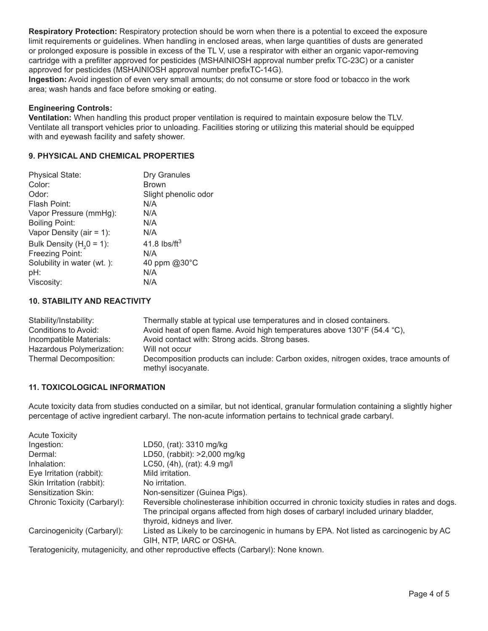**Respiratory Protection:** Respiratory protection should be worn when there is a potential to exceed the exposure limit requirements or guidelines. When handling in enclosed areas, when large quantities of dusts are generated or prolonged exposure is possible in excess of the TL V, use a respirator with either an organic vapor-removing cartridge with a prefilter approved for pesticides (MSHAINIOSH approval number prefix TC-23C) or a canister approved for pesticides (MSHAINIOSH approval number prefixTC-14G).

**Ingestion:** Avoid ingestion of even very small amounts; do not consume or store food or tobacco in the work area; wash hands and face before smoking or eating.

#### **Engineering Controls:**

**Ventilation:** When handling this product proper ventilation is required to maintain exposure below the TLV. Ventilate all transport vehicles prior to unloading. Facilities storing or utilizing this material should be equipped with and eyewash facility and safety shower.

#### **9. PHYSICAL AND CHEMICAL PROPERTIES**

| <b>Physical State:</b>      | Dry Granules         |
|-----------------------------|----------------------|
| Color:                      | <b>Brown</b>         |
| Odor:                       | Slight phenolic odor |
| Flash Point:                | N/A                  |
| Vapor Pressure (mmHg):      | N/A                  |
| <b>Boiling Point:</b>       | N/A                  |
| Vapor Density (air = $1$ ): | N/A                  |
| Bulk Density $(H20 = 1)$ :  | 41.8 lbs/ft $3$      |
| Freezing Point:             | N/A                  |
| Solubility in water (wt.):  | 40 ppm @30°C         |
| pH:                         | N/A                  |
| Viscosity:                  | N/A                  |

#### **10. STABILITY AND REACTIVITY**

| Stability/Instability:    | Thermally stable at typical use temperatures and in closed containers.                                     |
|---------------------------|------------------------------------------------------------------------------------------------------------|
| Conditions to Avoid:      | Avoid heat of open flame. Avoid high temperatures above 130°F (54.4 "C),                                   |
| Incompatible Materials:   | Avoid contact with: Strong acids. Strong bases.                                                            |
| Hazardous Polymerization: | Will not occur                                                                                             |
| Thermal Decomposition:    | Decomposition products can include: Carbon oxides, nitrogen oxides, trace amounts of<br>methyl isocyanate. |

# **11. TOXICOLOGICAL INFORMATION**

Acute toxicity data from studies conducted on a similar, but not identical, granular formulation containing a slightly higher percentage of active ingredient carbaryl. The non-acute information pertains to technical grade carbaryl.

| <b>Acute Toxicity</b>        |                                                                                                                                                                                                                    |
|------------------------------|--------------------------------------------------------------------------------------------------------------------------------------------------------------------------------------------------------------------|
| Ingestion:                   | LD50, (rat): 3310 mg/kg                                                                                                                                                                                            |
| Dermal:                      | LD50, (rabbit): >2,000 mg/kg                                                                                                                                                                                       |
| Inhalation:                  | LCS0, (4h), (rat): 4.9 mg/l                                                                                                                                                                                        |
| Eye Irritation (rabbit):     | Mild irritation.                                                                                                                                                                                                   |
| Skin Irritation (rabbit):    | No irritation.                                                                                                                                                                                                     |
| Sensitization Skin:          | Non-sensitizer (Guinea Pigs).                                                                                                                                                                                      |
| Chronic Toxicity (Carbaryl): | Reversible cholinesterase inhibition occurred in chronic toxicity studies in rates and dogs.<br>The principal organs affected from high doses of carbaryl included urinary bladder,<br>thyroid, kidneys and liver. |
| Carcinogenicity (Carbaryl):  | Listed as Likely to be carcinogenic in humans by EPA. Not listed as carcinogenic by AC<br>GIH, NTP, IARC or OSHA.                                                                                                  |
|                              | Teratogenicity, mutagenicity, and other reproductive effects (Carbaryl): None known.                                                                                                                               |